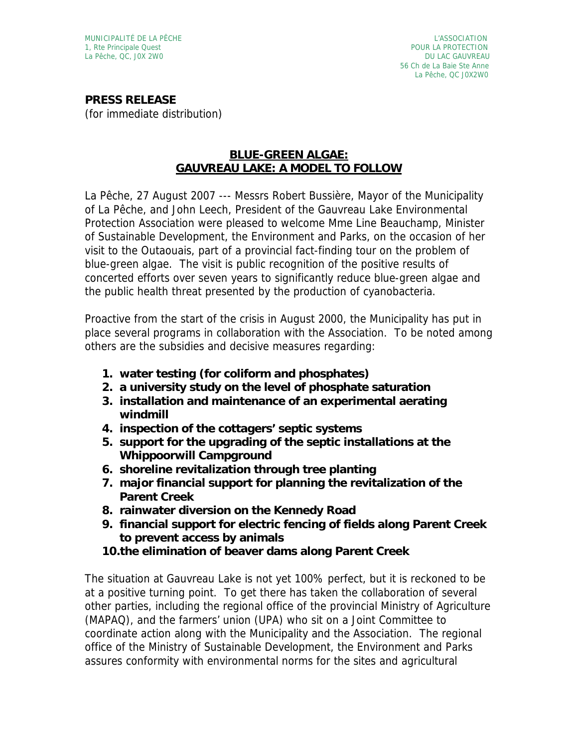**PRESS RELEASE**  (for immediate distribution)

## **BLUE-GREEN ALGAE: GAUVREAU LAKE: A MODEL TO FOLLOW**

La Pêche, 27 August 2007 --- Messrs Robert Bussière, Mayor of the Municipality of La Pêche, and John Leech, President of the Gauvreau Lake Environmental Protection Association were pleased to welcome Mme Line Beauchamp, Minister of Sustainable Development, the Environment and Parks, on the occasion of her visit to the Outaouais, part of a provincial fact-finding tour on the problem of blue-green algae. The visit is public recognition of the positive results of concerted efforts over seven years to significantly reduce blue-green algae and the public health threat presented by the production of cyanobacteria.

Proactive from the start of the crisis in August 2000, the Municipality has put in place several programs in collaboration with the Association. To be noted among others are the subsidies and decisive measures regarding:

- **1. water testing (for coliform and phosphates)**
- **2. a university study on the level of phosphate saturation**
- **3. installation and maintenance of an experimental aerating windmill**
- **4. inspection of the cottagers' septic systems**
- **5. support for the upgrading of the septic installations at the Whippoorwill Campground**
- **6. shoreline revitalization through tree planting**
- **7. major financial support for planning the revitalization of the Parent Creek**
- **8. rainwater diversion on the Kennedy Road**
- **9. financial support for electric fencing of fields along Parent Creek to prevent access by animals**
- **10.the elimination of beaver dams along Parent Creek**

The situation at Gauvreau Lake is not yet 100% perfect, but it is reckoned to be at a positive turning point. To get there has taken the collaboration of several other parties, including the regional office of the provincial Ministry of Agriculture (MAPAQ), and the farmers' union (UPA) who sit on a Joint Committee to coordinate action along with the Municipality and the Association. The regional office of the Ministry of Sustainable Development, the Environment and Parks assures conformity with environmental norms for the sites and agricultural